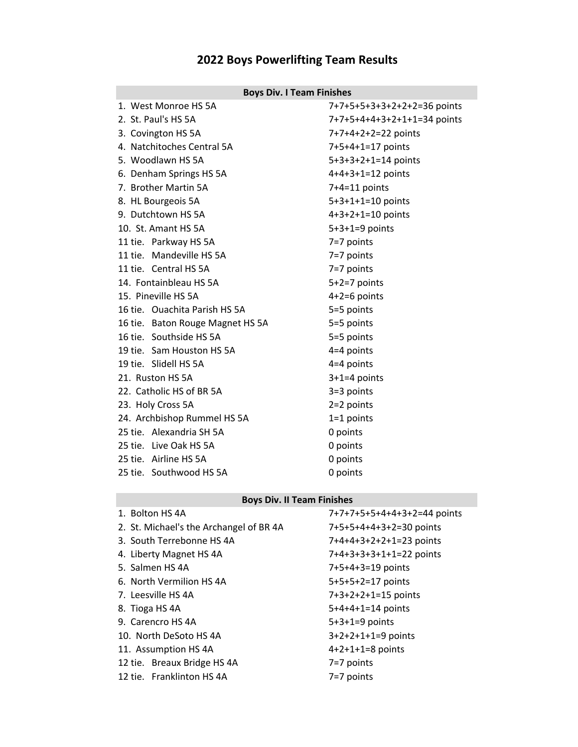# **2022 Boys Powerlifting Team Results**

## **Boys Div. I Team Finishes**

| 1. West Monroe HS 5A             | 7+7+5+5+3+3+2+2+2=36 points |
|----------------------------------|-----------------------------|
| 2. St. Paul's HS 5A              | 7+7+5+4+4+3+2+1+1=34 points |
| 3. Covington HS 5A               | 7+7+4+2+2=22 points         |
| 4. Natchitoches Central 5A       | 7+5+4+1=17 points           |
| 5. Woodlawn HS 5A                | $5+3+3+2+1=14$ points       |
| 6. Denham Springs HS 5A          | $4+4+3+1=12$ points         |
| 7. Brother Martin 5A             | $7+4=11$ points             |
| 8. HL Bourgeois 5A               | $5+3+1+1=10$ points         |
| 9. Dutchtown HS 5A               | $4+3+2+1=10$ points         |
| 10. St. Amant HS 5A              | $5+3+1=9$ points            |
| 11 tie. Parkway HS 5A            | 7=7 points                  |
| 11 tie. Mandeville HS 5A         | 7=7 points                  |
| 11 tie. Central HS 5A            | 7=7 points                  |
| 14. Fontainbleau HS 5A           | $5+2=7$ points              |
| 15. Pineville HS 5A              | $4+2=6$ points              |
| 16 tie. Ouachita Parish HS 5A    | 5=5 points                  |
| 16 tie. Baton Rouge Magnet HS 5A | 5=5 points                  |
| 16 tie. Southside HS 5A          | 5=5 points                  |
| 19 tie. Sam Houston HS 5A        | $4=4$ points                |
| 19 tie. Slidell HS 5A            | $4=4$ points                |
| 21. Ruston HS 5A                 | $3+1=4$ points              |
| 22. Catholic HS of BR 5A         | $3=3$ points                |
| 23. Holy Cross 5A                | $2=2$ points                |
| 24. Archbishop Rummel HS 5A      | $1=1$ points                |
| 25 tie. Alexandria SH 5A         | 0 points                    |
| 25 tie. Live Oak HS 5A           | 0 points                    |
| 25 tie. Airline HS 5A            | 0 points                    |
| 25 tie. Southwood HS 5A          | 0 points                    |

## **Boys Div. II Team Finishes**

| 1. Bolton HS 4A                         | 7+7+7+5+5+4+4+3+2=44 points |
|-----------------------------------------|-----------------------------|
| 2. St. Michael's the Archangel of BR 4A | 7+5+5+4+4+3+2=30 points     |
| 3. South Terrebonne HS 4A               | 7+4+4+3+2+2+1=23 points     |
| 4. Liberty Magnet HS 4A                 | 7+4+3+3+3+1+1=22 points     |
| 5. Salmen HS 4A                         | 7+5+4+3=19 points           |
| 6. North Vermilion HS 4A                | 5+5+5+2=17 points           |
| 7. Leesville HS 4A                      | 7+3+2+2+1=15 points         |
| 8. Tioga HS 4A                          | $5+4+4+1=14$ points         |
| 9. Carencro HS 4A                       | $5+3+1=9$ points            |
| 10. North DeSoto HS 4A                  | $3+2+2+1+1=9$ points        |
| 11. Assumption HS 4A                    | $4+2+1+1=8$ points          |
| 12 tie. Breaux Bridge HS 4A             | 7=7 points                  |
| 12 tie. Franklinton HS 4A               | $7=7$ points                |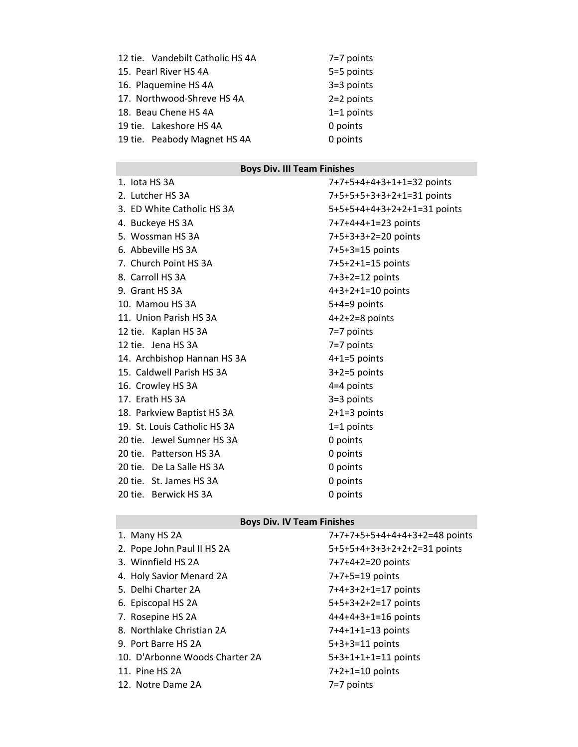| 12 tie. Vandebilt Catholic HS 4A | 7=7 points   |
|----------------------------------|--------------|
| 15. Pearl River HS 4A            | 5=5 points   |
| 16. Plaquemine HS 4A             | $3=3$ points |
| 17. Northwood-Shreve HS 4A       | $2=2$ points |
| 18. Beau Chene HS 4A             | $1=1$ points |
| 19 tie. Lakeshore HS 4A          | 0 points     |
| 19 tie. Peabody Magnet HS 4A     | 0 points     |

## **Boys Div. III Team Finishes**

| 1. lota HS 3A                | 7+7+5+4+4+3+1+1=32 points   |
|------------------------------|-----------------------------|
| 2. Lutcher HS 3A             | 7+5+5+5+3+3+2+1=31 points   |
| 3. ED White Catholic HS 3A   | 5+5+5+4+4+3+2+2+1=31 points |
| 4. Buckeye HS 3A             | 7+7+4+4+1=23 points         |
| 5. Wossman HS 3A             | 7+5+3+3+2=20 points         |
| 6. Abbeville HS 3A           | 7+5+3=15 points             |
| 7. Church Point HS 3A        | 7+5+2+1=15 points           |
| 8. Carroll HS 3A             | $7+3+2=12$ points           |
| 9. Grant HS 3A               | $4+3+2+1=10$ points         |
| 10. Mamou HS 3A              | $5+4=9$ points              |
| 11. Union Parish HS 3A       | $4+2+2=8$ points            |
| 12 tie. Kaplan HS 3A         | $7=7$ points                |
| 12 tie. Jena HS 3A           | 7=7 points                  |
| 14. Archbishop Hannan HS 3A  | $4+1=5$ points              |
| 15. Caldwell Parish HS 3A    | $3+2=5$ points              |
| 16. Crowley HS 3A            | $4=4$ points                |
| 17. Erath HS 3A              | 3=3 points                  |
| 18. Parkview Baptist HS 3A   | $2+1=3$ points              |
| 19. St. Louis Catholic HS 3A | $1=1$ points                |
| 20 tie. Jewel Sumner HS 3A   | 0 points                    |
| 20 tie. Patterson HS 3A      | 0 points                    |
| 20 tie. De La Salle HS 3A    | 0 points                    |
| 20 tie. St. James HS 3A      | 0 points                    |
| 20 tie. Berwick HS 3A        | 0 points                    |

## **Boys Div. IV Team Finishes**

| 1. Many HS 2A                  | 7+7+7+5+5+4+4+4+3+2=48 points |
|--------------------------------|-------------------------------|
| 2. Pope John Paul II HS 2A     | 5+5+5+4+3+3+2+2+2=31 points   |
| 3. Winnfield HS 2A             | $7+7+4+2=20$ points           |
| 4. Holy Savior Menard 2A       | 7+7+5=19 points               |
| 5. Delhi Charter 2A            | 7+4+3+2+1=17 points           |
| 6. Episcopal HS 2A             | 5+5+3+2+2=17 points           |
| 7. Rosepine HS 2A              | $4+4+4+3+1=16$ points         |
| 8. Northlake Christian 2A      | $7+4+1+1=13$ points           |
| 9. Port Barre HS 2A            | $5+3+3=11$ points             |
| 10. D'Arbonne Woods Charter 2A | $5+3+1+1+1=11$ points         |
| 11. Pine HS 2A                 | $7+2+1=10$ points             |
| 12. Notre Dame 2A              | $7=7$ points                  |
|                                |                               |